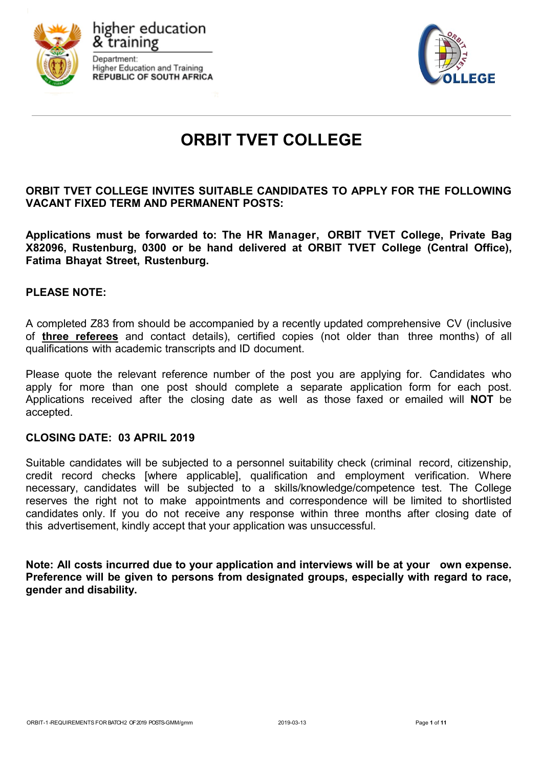

higher education k training Department: **Higher Education and Training REPUBLIC OF SOUTH AFRICA** 



# **ORBIT TVET COLLEGE**

**ORBIT TVET COLLEGE INVITES SUITABLE CANDIDATES TO APPLY FOR THE FOLLOWING VACANT FIXED TERM AND PERMANENT POSTS:**

**Applications must be forwarded to: The HR Manager, ORBIT TVET College, Private Bag X82096, Rustenburg, 0300 or be hand delivered at ORBIT TVET College (Central Office), Fatima Bhayat Street, Rustenburg.**

## **PLEASE NOTE:**

A completed Z83 from should be accompanied by a recently updated comprehensive CV (inclusive of **three referees** and contact details), certified copies (not older than three months) of all qualifications with academic transcripts and ID document.

Please quote the relevant reference number of the post you are applying for. Candidates who apply for more than one post should complete a separate application form for each post. Applications received after the closing date as well as those faxed or emailed will **NOT** be accepted.

#### **CLOSING DATE: 03 APRIL 2019**

Suitable candidates will be subjected to a personnel suitability check (criminal record, citizenship, credit record checks [where applicable], qualification and employment verification. Where necessary, candidates will be subjected to a skills/knowledge/competence test. The College reserves the right not to make appointments and correspondence will be limited to shortlisted candidates only. If you do not receive any response within three months after closing date of this advertisement, kindly accept that your application was unsuccessful.

**Note: All costs incurred due to your application and interviews will be at your own expense. Preference will be given to persons from designated groups, especially with regard to race, gender and disability.**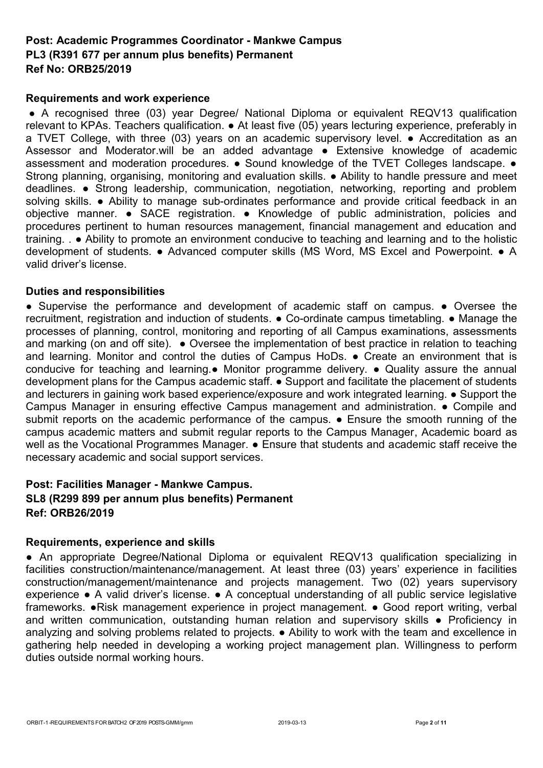# **Post: Academic Programmes Coordinator - Mankwe Campus PL3 (R391 677 per annum plus benefits) Permanent Ref No: ORB25/2019**

## **Requirements and work experience**

● A recognised three (03) year Degree/ National Diploma or equivalent REQV13 qualification relevant to KPAs. Teachers qualification. • At least five (05) years lecturing experience, preferably in a TVET College, with three (03) years on an academic supervisory level. ● Accreditation as an Assessor and Moderator.will be an added advantage ● Extensive knowledge of academic assessment and moderation procedures. ● Sound knowledge of the TVET Colleges landscape. ● Strong planning, organising, monitoring and evaluation skills. • Ability to handle pressure and meet deadlines. ● Strong leadership, communication, negotiation, networking, reporting and problem solving skills. • Ability to manage sub-ordinates performance and provide critical feedback in an objective manner. ● SACE registration. ● Knowledge of public administration, policies and procedures pertinent to human resources management, financial management and education and training. . ● Ability to promote an environment conducive to teaching and learning and to the holistic development of students. ● Advanced computer skills (MS Word, MS Excel and Powerpoint. ● A valid driver's license.

## **Duties and responsibilities**

● Supervise the performance and development of academic staff on campus. ● Oversee the recruitment, registration and induction of students. ● Co-ordinate campus timetabling. ● Manage the processes of planning, control, monitoring and reporting of all Campus examinations, assessments and marking (on and off site).  $\bullet$  Oversee the implementation of best practice in relation to teaching and learning. Monitor and control the duties of Campus HoDs. ● Create an environment that is conducive for teaching and learning.● Monitor programme delivery. ● Quality assure the annual development plans for the Campus academic staff. ● Support and facilitate the placement of students and lecturers in gaining work based experience/exposure and work integrated learning. ● Support the Campus Manager in ensuring effective Campus management and administration. ● Compile and submit reports on the academic performance of the campus.  $\bullet$  Ensure the smooth running of the campus academic matters and submit regular reports to the Campus Manager, Academic board as well as the Vocational Programmes Manager. ● Ensure that students and academic staff receive the necessary academic and social support services.

# **Post: Facilities Manager - Mankwe Campus. SL8 (R299 899 per annum plus benefits) Permanent Ref: ORB26/2019**

# **Requirements, experience and skills**

● An appropriate Degree/National Diploma or equivalent REQV13 qualification specializing in facilities construction/maintenance/management. At least three (03) years' experience in facilities construction/management/maintenance and projects management. Two (02) years supervisory experience ● A valid driver's license. ● A conceptual understanding of all public service legislative frameworks. ●Risk management experience in project management. ● Good report writing, verbal and written communication, outstanding human relation and supervisory skills • Proficiency in analyzing and solving problems related to projects. ● Ability to work with the team and excellence in gathering help needed in developing a working project management plan. Willingness to perform duties outside normal working hours.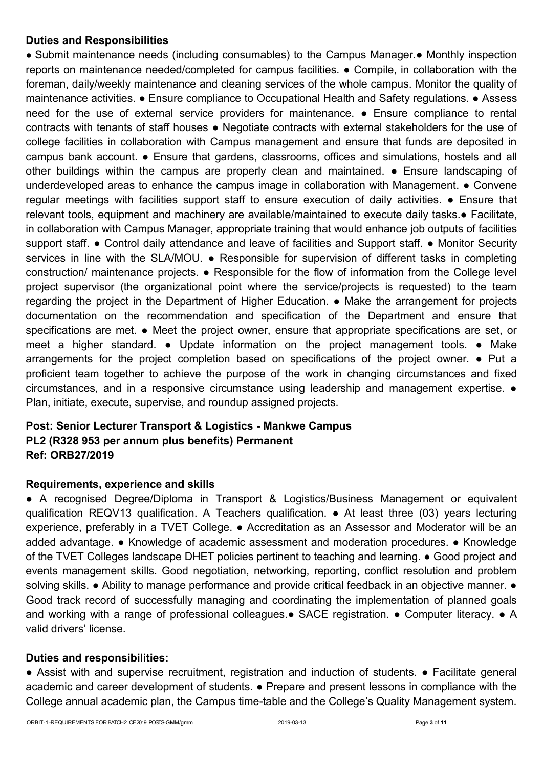# **Duties and Responsibilities**

● Submit maintenance needs (including consumables) to the Campus Manager.● Monthly inspection reports on maintenance needed/completed for campus facilities. ● Compile, in collaboration with the foreman, daily/weekly maintenance and cleaning services of the whole campus. Monitor the quality of maintenance activities. ● Ensure compliance to Occupational Health and Safety regulations. ● Assess need for the use of external service providers for maintenance. ● Ensure compliance to rental contracts with tenants of staff houses ● Negotiate contracts with external stakeholders for the use of college facilities in collaboration with Campus management and ensure that funds are deposited in campus bank account. ● Ensure that gardens, classrooms, offices and simulations, hostels and all other buildings within the campus are properly clean and maintained. ● Ensure landscaping of underdeveloped areas to enhance the campus image in collaboration with Management. • Convene regular meetings with facilities support staff to ensure execution of daily activities. ● Ensure that relevant tools, equipment and machinery are available/maintained to execute daily tasks.● Facilitate, in collaboration with Campus Manager, appropriate training that would enhance job outputs of facilities support staff. • Control daily attendance and leave of facilities and Support staff. • Monitor Security services in line with the SLA/MOU. • Responsible for supervision of different tasks in completing construction/ maintenance projects. ● Responsible for the flow of information from the College level project supervisor (the organizational point where the service/projects is requested) to the team regarding the project in the Department of Higher Education. ● Make the arrangement for projects documentation on the recommendation and specification of the Department and ensure that specifications are met. • Meet the project owner, ensure that appropriate specifications are set, or meet a higher standard. ● Update information on the project management tools. ● Make arrangements for the project completion based on specifications of the project owner. ● Put a proficient team together to achieve the purpose of the work in changing circumstances and fixed circumstances, and in a responsive circumstance using leadership and management expertise. ● Plan, initiate, execute, supervise, and roundup assigned projects.

# **Post: Senior Lecturer Transport & Logistics - Mankwe Campus PL2 (R328 953 per annum plus benefits) Permanent Ref: ORB27/2019**

# **Requirements, experience and skills**

● A recognised Degree/Diploma in Transport & Logistics/Business Management or equivalent qualification REQV13 qualification. A Teachers qualification. ● At least three (03) years lecturing experience, preferably in a TVET College. ● Accreditation as an Assessor and Moderator will be an added advantage. ● Knowledge of academic assessment and moderation procedures. ● Knowledge of the TVET Colleges landscape DHET policies pertinent to teaching and learning. ● Good project and events management skills. Good negotiation, networking, reporting, conflict resolution and problem solving skills. • Ability to manage performance and provide critical feedback in an objective manner. • Good track record of successfully managing and coordinating the implementation of planned goals and working with a range of professional colleagues.● SACE registration. ● Computer literacy. ● A valid drivers' license.

# **Duties and responsibilities:**

• Assist with and supervise recruitment, registration and induction of students. • Facilitate general academic and career development of students. ● Prepare and present lessons in compliance with the College annual academic plan, the Campus time-table and the College's Quality Management system.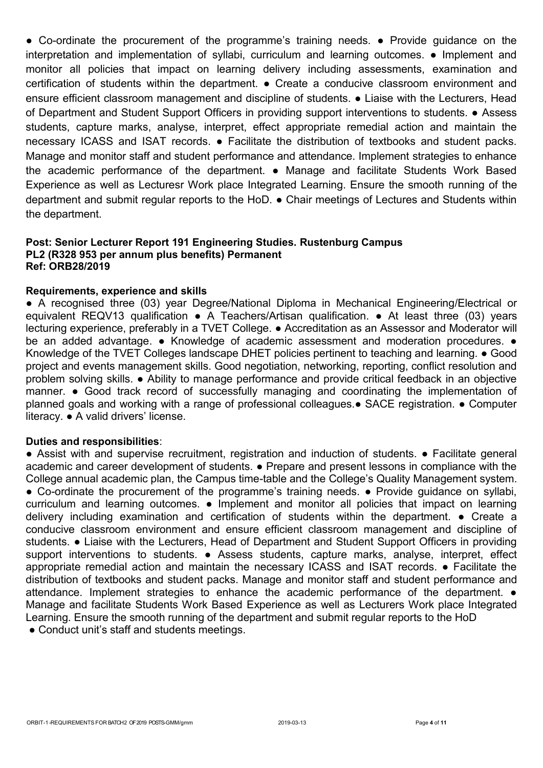● Co-ordinate the procurement of the programme's training needs. ● Provide guidance on the interpretation and implementation of syllabi, curriculum and learning outcomes. ● Implement and monitor all policies that impact on learning delivery including assessments, examination and certification of students within the department. ● Create a conducive classroom environment and ensure efficient classroom management and discipline of students. • Liaise with the Lecturers, Head of Department and Student Support Officers in providing support interventions to students. ● Assess students, capture marks, analyse, interpret, effect appropriate remedial action and maintain the necessary ICASS and ISAT records. ● Facilitate the distribution of textbooks and student packs. Manage and monitor staff and student performance and attendance. Implement strategies to enhance the academic performance of the department. ● Manage and facilitate Students Work Based Experience as well as Lecturesr Work place Integrated Learning. Ensure the smooth running of the department and submit regular reports to the HoD. ● Chair meetings of Lectures and Students within the department.

#### **Post: Senior Lecturer Report 191 Engineering Studies. Rustenburg Campus PL2 (R328 953 per annum plus benefits) Permanent Ref: ORB28/2019**

#### **Requirements, experience and skills**

● A recognised three (03) year Degree/National Diploma in Mechanical Engineering/Electrical or equivalent REQV13 qualification • A Teachers/Artisan qualification. • At least three (03) vears lecturing experience, preferably in a TVET College. ● Accreditation as an Assessor and Moderator will be an added advantage. • Knowledge of academic assessment and moderation procedures. • Knowledge of the TVET Colleges landscape DHET policies pertinent to teaching and learning. ● Good project and events management skills. Good negotiation, networking, reporting, conflict resolution and problem solving skills. ● Ability to manage performance and provide critical feedback in an objective manner. ● Good track record of successfully managing and coordinating the implementation of planned goals and working with a range of professional colleagues.● SACE registration. ● Computer literacy. ● A valid drivers' license.

#### **Duties and responsibilities**:

● Assist with and supervise recruitment, registration and induction of students. ● Facilitate general academic and career development of students. ● Prepare and present lessons in compliance with the College annual academic plan, the Campus time-table and the College's Quality Management system. • Co-ordinate the procurement of the programme's training needs. • Provide guidance on syllabi, curriculum and learning outcomes. ● Implement and monitor all policies that impact on learning delivery including examination and certification of students within the department. ● Create a conducive classroom environment and ensure efficient classroom management and discipline of students. ● Liaise with the Lecturers, Head of Department and Student Support Officers in providing support interventions to students. • Assess students, capture marks, analyse, interpret, effect appropriate remedial action and maintain the necessary ICASS and ISAT records. ● Facilitate the distribution of textbooks and student packs. Manage and monitor staff and student performance and attendance. Implement strategies to enhance the academic performance of the department. ● Manage and facilitate Students Work Based Experience as well as Lecturers Work place Integrated Learning. Ensure the smooth running of the department and submit regular reports to the HoD

• Conduct unit's staff and students meetings.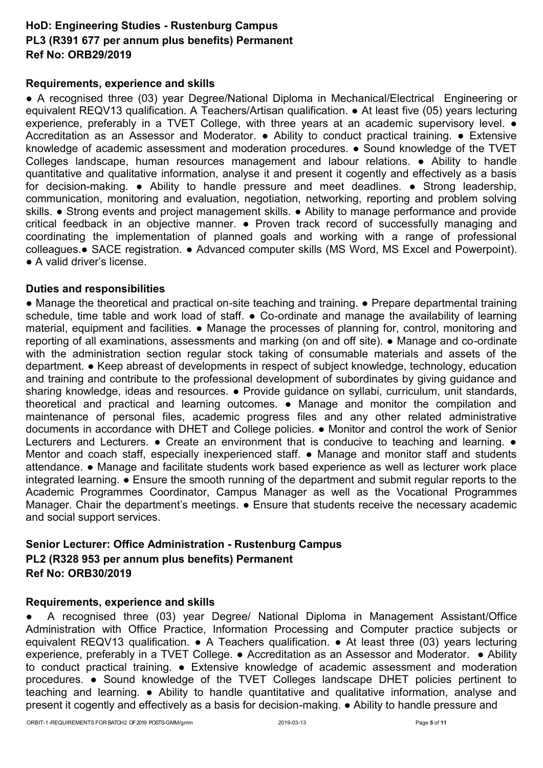# **HoD: Engineering Studies - Rustenburg Campus PL3 (R391 677 per annum plus benefits) Permanent Ref No: ORB29/2019**

# **Requirements, experience and skills**

● A recognised three (03) year Degree/National Diploma in Mechanical/Electrical Engineering or equivalent REQV13 qualification. A Teachers/Artisan qualification. ● At least five (05) years lecturing experience, preferably in a TVET College, with three years at an academic supervisory level. ● Accreditation as an Assessor and Moderator. ● Ability to conduct practical training. ● Extensive knowledge of academic assessment and moderation procedures. ● Sound knowledge of the TVET Colleges landscape, human resources management and labour relations. ● Ability to handle quantitative and qualitative information, analyse it and present it cogently and effectively as a basis for decision-making. • Ability to handle pressure and meet deadlines. • Strong leadership, communication, monitoring and evaluation, negotiation, networking, reporting and problem solving skills. ● Strong events and project management skills. ● Ability to manage performance and provide critical feedback in an objective manner. • Proven track record of successfully managing and coordinating the implementation of planned goals and working with a range of professional colleagues.● SACE registration. ● Advanced computer skills (MS Word, MS Excel and Powerpoint). ● A valid driver's license.

#### **Duties and responsibilities**

● Manage the theoretical and practical on-site teaching and training. ● Prepare departmental training schedule, time table and work load of staff. • Co-ordinate and manage the availability of learning material, equipment and facilities. ● Manage the processes of planning for, control, monitoring and reporting of all examinations, assessments and marking (on and off site). ● Manage and co-ordinate with the administration section regular stock taking of consumable materials and assets of the department. ● Keep abreast of developments in respect of subject knowledge, technology, education and training and contribute to the professional development of subordinates by giving guidance and sharing knowledge, ideas and resources. • Provide guidance on syllabi, curriculum, unit standards, theoretical and practical and learning outcomes. ● Manage and monitor the compilation and maintenance of personal files, academic progress files and any other related administrative documents in accordance with DHET and College policies. ● Monitor and control the work of Senior Lecturers and Lecturers. • Create an environment that is conducive to teaching and learning. • Mentor and coach staff, especially inexperienced staff. • Manage and monitor staff and students attendance. ● Manage and facilitate students work based experience as well as lecturer work place integrated learning. ● Ensure the smooth running of the department and submit regular reports to the Academic Programmes Coordinator, Campus Manager as well as the Vocational Programmes Manager. Chair the department's meetings. ● Ensure that students receive the necessary academic and social support services.

# **Senior Lecturer: Office Administration - Rustenburg Campus PL2 (R328 953 per annum plus benefits) Permanent Ref No: ORB30/2019**

#### **Requirements, experience and skills**

A recognised three (03) year Degree/ National Diploma in Management Assistant/Office Administration with Office Practice, Information Processing and Computer practice subjects or equivalent REQV13 qualification. • A Teachers qualification. • At least three (03) years lecturing experience, preferably in a TVET College. ● Accreditation as an Assessor and Moderator. ● Ability to conduct practical training. ● Extensive knowledge of academic assessment and moderation procedures. ● Sound knowledge of the TVET Colleges landscape DHET policies pertinent to teaching and learning. ● Ability to handle quantitative and qualitative information, analyse and present it cogently and effectively as a basis for decision-making. ● Ability to handle pressure and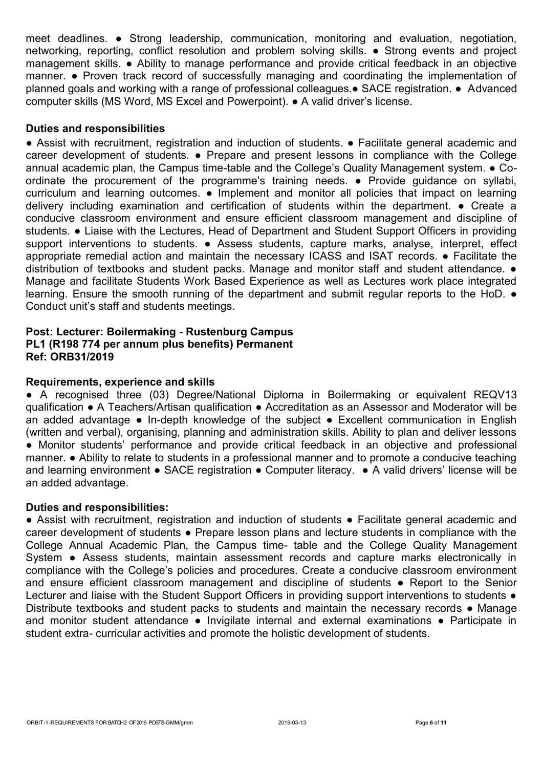meet deadlines. ● Strong leadership, communication, monitoring and evaluation, negotiation, networking, reporting, conflict resolution and problem solving skills. ● Strong events and project management skills. ● Ability to manage performance and provide critical feedback in an objective manner. ● Proven track record of successfully managing and coordinating the implementation of planned goals and working with a range of professional colleagues.● SACE registration. ● Advanced computer skills (MS Word, MS Excel and Powerpoint). ● A valid driver's license.

# **Duties and responsibilities**

● Assist with recruitment, registration and induction of students. ● Facilitate general academic and career development of students. ● Prepare and present lessons in compliance with the College annual academic plan, the Campus time-table and the College's Quality Management system. ● Coordinate the procurement of the programme's training needs. ● Provide guidance on syllabi, curriculum and learning outcomes. ● Implement and monitor all policies that impact on learning delivery including examination and certification of students within the department. ● Create a conducive classroom environment and ensure efficient classroom management and discipline of students. ● Liaise with the Lectures, Head of Department and Student Support Officers in providing support interventions to students. • Assess students, capture marks, analyse, interpret, effect appropriate remedial action and maintain the necessary ICASS and ISAT records. ● Facilitate the distribution of textbooks and student packs. Manage and monitor staff and student attendance. ● Manage and facilitate Students Work Based Experience as well as Lectures work place integrated learning. Ensure the smooth running of the department and submit regular reports to the HoD. ● Conduct unit's staff and students meetings.

# **Post: Lecturer: Boilermaking - Rustenburg Campus PL1 (R198 774 per annum plus benefits) Permanent Ref: ORB31/2019**

## **Requirements, experience and skills**

● A recognised three (03) Degree/National Diploma in Boilermaking or equivalent REQV13 qualification ● A Teachers/Artisan qualification ● Accreditation as an Assessor and Moderator will be an added advantage ● In-depth knowledge of the subject ● Excellent communication in English (written and verbal), organising, planning and administration skills. Ability to plan and deliver lessons ● Monitor students' performance and provide critical feedback in an objective and professional manner. ● Ability to relate to students in a professional manner and to promote a conducive teaching and learning environment • SACE registration • Computer literacy. • A valid drivers' license will be an added advantage.

## **Duties and responsibilities:**

● Assist with recruitment, registration and induction of students ● Facilitate general academic and career development of students ● Prepare lesson plans and lecture students in compliance with the College Annual Academic Plan, the Campus time- table and the College Quality Management System • Assess students, maintain assessment records and capture marks electronically in compliance with the College's policies and procedures. Create a conducive classroom environment and ensure efficient classroom management and discipline of students • Report to the Senior Lecturer and liaise with the Student Support Officers in providing support interventions to students  $\bullet$ Distribute textbooks and student packs to students and maintain the necessary records ● Manage and monitor student attendance • Invigilate internal and external examinations • Participate in student extra- curricular activities and promote the holistic development of students.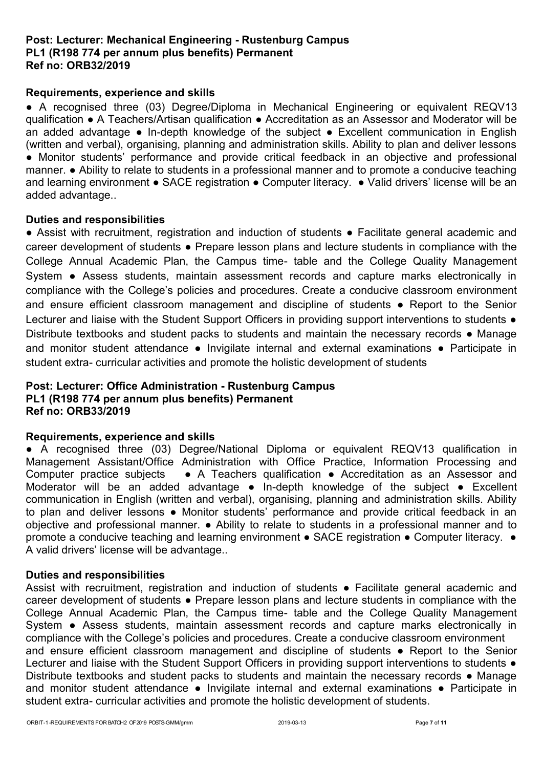# **Post: Lecturer: Mechanical Engineering - Rustenburg Campus PL1 (R198 774 per annum plus benefits) Permanent Ref no: ORB32/2019**

# **Requirements, experience and skills**

• A recognised three (03) Degree/Diploma in Mechanical Engineering or equivalent REQV13 qualification ● A Teachers/Artisan qualification ● Accreditation as an Assessor and Moderator will be an added advantage ● In-depth knowledge of the subject ● Excellent communication in English (written and verbal), organising, planning and administration skills. Ability to plan and deliver lessons ● Monitor students' performance and provide critical feedback in an objective and professional manner. ● Ability to relate to students in a professional manner and to promote a conducive teaching and learning environment • SACE registration • Computer literacy. • Valid drivers' license will be an added advantage..

#### **Duties and responsibilities**

● Assist with recruitment, registration and induction of students ● Facilitate general academic and career development of students ● Prepare lesson plans and lecture students in compliance with the College Annual Academic Plan, the Campus time- table and the College Quality Management System • Assess students, maintain assessment records and capture marks electronically in compliance with the College's policies and procedures. Create a conducive classroom environment and ensure efficient classroom management and discipline of students • Report to the Senior Lecturer and liaise with the Student Support Officers in providing support interventions to students  $\bullet$ Distribute textbooks and student packs to students and maintain the necessary records ● Manage and monitor student attendance • Invigilate internal and external examinations • Participate in student extra- curricular activities and promote the holistic development of students

# **Post: Lecturer: Office Administration - Rustenburg Campus PL1 (R198 774 per annum plus benefits) Permanent Ref no: ORB33/2019**

#### **Requirements, experience and skills**

● A recognised three (03) Degree/National Diploma or equivalent REQV13 qualification in Management Assistant/Office Administration with Office Practice, Information Processing and Computer practice subjects ● A Teachers qualification ● Accreditation as an Assessor and Moderator will be an added advantage ● In-depth knowledge of the subject ● Excellent communication in English (written and verbal), organising, planning and administration skills. Ability to plan and deliver lessons • Monitor students' performance and provide critical feedback in an objective and professional manner. ● Ability to relate to students in a professional manner and to promote a conducive teaching and learning environment ● SACE registration ● Computer literacy. ● A valid drivers' license will be advantage..

#### **Duties and responsibilities**

Assist with recruitment, registration and induction of students • Facilitate general academic and career development of students ● Prepare lesson plans and lecture students in compliance with the College Annual Academic Plan, the Campus time- table and the College Quality Management System • Assess students, maintain assessment records and capture marks electronically in compliance with the College's policies and procedures. Create a conducive classroom environment and ensure efficient classroom management and discipline of students • Report to the Senior Lecturer and liaise with the Student Support Officers in providing support interventions to students  $\bullet$ Distribute textbooks and student packs to students and maintain the necessary records ● Manage and monitor student attendance • Invigilate internal and external examinations • Participate in student extra- curricular activities and promote the holistic development of students.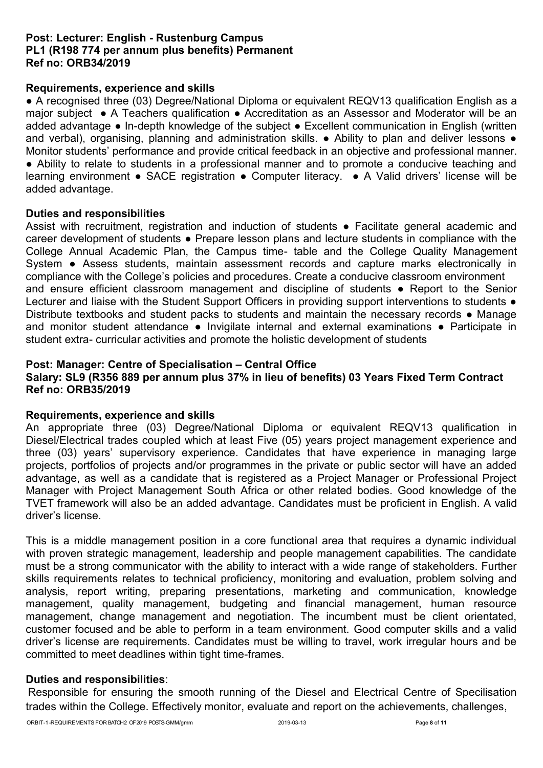# **Post: Lecturer: English - Rustenburg Campus PL1 (R198 774 per annum plus benefits) Permanent Ref no: ORB34/2019**

# **Requirements, experience and skills**

• A recognised three (03) Degree/National Diploma or equivalent REQV13 qualification English as a major subject ● A Teachers qualification ● Accreditation as an Assessor and Moderator will be an added advantage ● In-depth knowledge of the subject ● Excellent communication in English (written and verbal), organising, planning and administration skills. • Ability to plan and deliver lessons • Monitor students' performance and provide critical feedback in an objective and professional manner. ● Ability to relate to students in a professional manner and to promote a conducive teaching and learning environment ● SACE registration ● Computer literacy. ● A Valid drivers' license will be added advantage.

#### **Duties and responsibilities**

Assist with recruitment, registration and induction of students • Facilitate general academic and career development of students ● Prepare lesson plans and lecture students in compliance with the College Annual Academic Plan, the Campus time- table and the College Quality Management System • Assess students, maintain assessment records and capture marks electronically in compliance with the College's policies and procedures. Create a conducive classroom environment and ensure efficient classroom management and discipline of students • Report to the Senior Lecturer and liaise with the Student Support Officers in providing support interventions to students  $\bullet$ Distribute textbooks and student packs to students and maintain the necessary records ● Manage and monitor student attendance  $\bullet$  Invigilate internal and external examinations  $\bullet$  Participate in student extra- curricular activities and promote the holistic development of students

# **Post: Manager: Centre of Specialisation – Central Office**

# **Salary: SL9 (R356 889 per annum plus 37% in lieu of benefits) 03 Years Fixed Term Contract Ref no: ORB35/2019**

#### **Requirements, experience and skills**

An appropriate three (03) Degree/National Diploma or equivalent REQV13 qualification in Diesel/Electrical trades coupled which at least Five (05) years project management experience and three (03) years' supervisory experience. Candidates that have experience in managing large projects, portfolios of projects and/or programmes in the private or public sector will have an added advantage, as well as a candidate that is registered as a Project Manager or Professional Project Manager with Project Management South Africa or other related bodies. Good knowledge of the TVET framework will also be an added advantage. Candidates must be proficient in English. A valid driver's license.

This is a middle management position in a core functional area that requires a dynamic individual with proven strategic management, leadership and people management capabilities. The candidate must be a strong communicator with the ability to interact with a wide range of stakeholders. Further skills requirements relates to technical proficiency, monitoring and evaluation, problem solving and analysis, report writing, preparing presentations, marketing and communication, knowledge management, quality management, budgeting and financial management, human resource management, change management and negotiation. The incumbent must be client orientated, customer focused and be able to perform in a team environment. Good computer skills and a valid driver's license are requirements. Candidates must be willing to travel, work irregular hours and be committed to meet deadlines within tight time-frames.

# **Duties and responsibilities**:

Responsible for ensuring the smooth running of the Diesel and Electrical Centre of Specilisation trades within the College. Effectively monitor, evaluate and report on the achievements, challenges,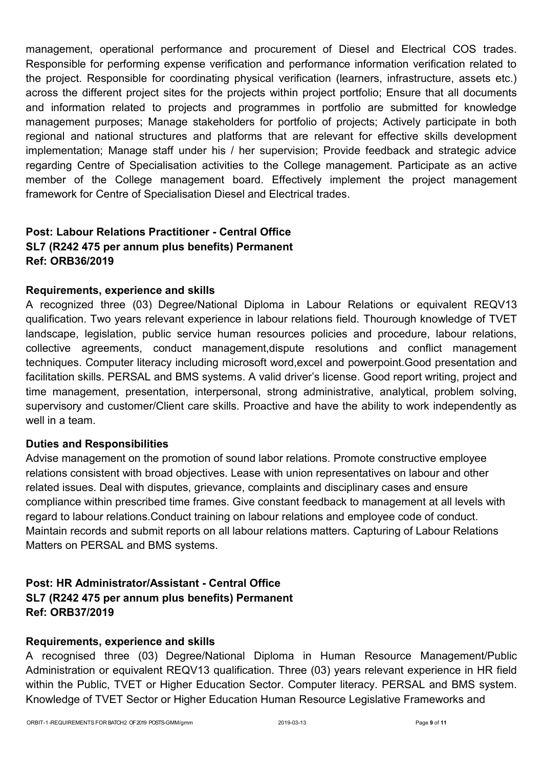management, operational performance and procurement of Diesel and Electrical COS trades. Responsible for performing expense verification and performance information verification related to the project. Responsible for coordinating physical verification (learners, infrastructure, assets etc.) across the different project sites for the projects within project portfolio; Ensure that all documents and information related to projects and programmes in portfolio are submitted for knowledge management purposes; Manage stakeholders for portfolio of projects; Actively participate in both regional and national structures and platforms that are relevant for effective skills development implementation; Manage staff under his / her supervision; Provide feedback and strategic advice regarding Centre of Specialisation activities to the College management. Participate as an active member of the College management board. Effectively implement the project management framework for Centre of Specialisation Diesel and Electrical trades.

# **Post: Labour Relations Practitioner - Central Office SL7 (R242 475 per annum plus benefits) Permanent Ref: ORB36/2019**

# **Requirements, experience and skills**

A recognized three (03) Degree/National Diploma in Labour Relations or equivalent REQV13 qualification. Two years relevant experience in labour relations field. Thourough knowledge of TVET landscape, legislation, public service human resources policies and procedure, labour relations, collective agreements, conduct management,dispute resolutions and conflict management techniques. Computer literacy including microsoft word,excel and powerpoint.Good presentation and facilitation skills. PERSAL and BMS systems. A valid driver's license. Good report writing, project and time management, presentation, interpersonal, strong administrative, analytical, problem solving, supervisory and customer/Client care skills. Proactive and have the ability to work independently as well in a team.

# **Duties and Responsibilities**

Advise management on the promotion of sound labor relations. Promote constructive employee relations consistent with broad objectives. Lease with union representatives on labour and other related issues. Deal with disputes, grievance, complaints and disciplinary cases and ensure compliance within prescribed time frames. Give constant feedback to management at all levels with regard to labour relations.Conduct training on labour relations and employee code of conduct. Maintain records and submit reports on all labour relations matters. Capturing of Labour Relations Matters on PERSAL and BMS systems.

# **Post: HR Administrator/Assistant - Central Office SL7 (R242 475 per annum plus benefits) Permanent Ref: ORB37/2019**

# **Requirements, experience and skills**

A recognised three (03) Degree/National Diploma in Human Resource Management/Public Administration or equivalent REQV13 qualification. Three (03) years relevant experience in HR field within the Public, TVET or Higher Education Sector. Computer literacy. PERSAL and BMS system. Knowledge of TVET Sector or Higher Education Human Resource Legislative Frameworks and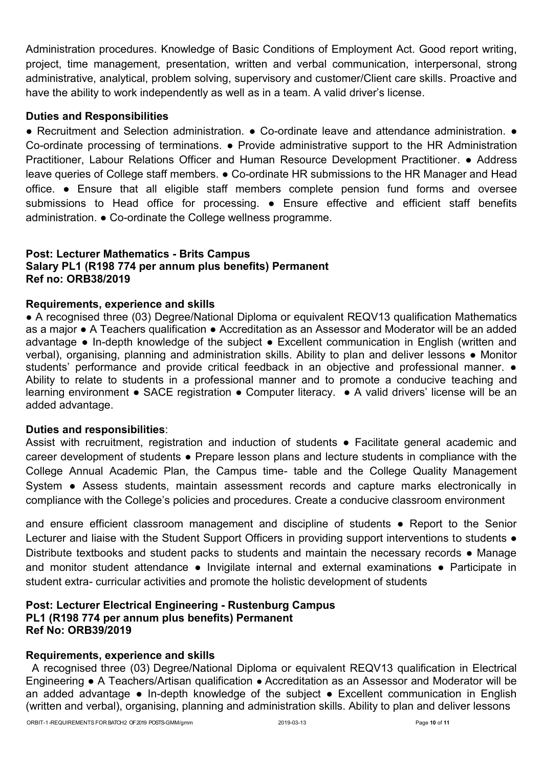Administration procedures. Knowledge of Basic Conditions of Employment Act. Good report writing, project, time management, presentation, written and verbal communication, interpersonal, strong administrative, analytical, problem solving, supervisory and customer/Client care skills. Proactive and have the ability to work independently as well as in a team. A valid driver's license.

# **Duties and Responsibilities**

● Recruitment and Selection administration. ● Co-ordinate leave and attendance administration. ● Co-ordinate processing of terminations. ● Provide administrative support to the HR Administration Practitioner, Labour Relations Officer and Human Resource Development Practitioner. ● Address leave queries of College staff members. ● Co-ordinate HR submissions to the HR Manager and Head office. ● Ensure that all eligible staff members complete pension fund forms and oversee submissions to Head office for processing. • Ensure effective and efficient staff benefits administration. ● Co-ordinate the College wellness programme.

# **Post: Lecturer Mathematics - Brits Campus Salary PL1 (R198 774 per annum plus benefits) Permanent Ref no: ORB38/2019**

## **Requirements, experience and skills**

• A recognised three (03) Degree/National Diploma or equivalent REQV13 qualification Mathematics as a major ● A Teachers qualification ● Accreditation as an Assessor and Moderator will be an added advantage ● In-depth knowledge of the subject ● Excellent communication in English (written and verbal), organising, planning and administration skills. Ability to plan and deliver lessons • Monitor students' performance and provide critical feedback in an objective and professional manner.  $\bullet$ Ability to relate to students in a professional manner and to promote a conducive teaching and learning environment ● SACE registration ● Computer literacy. ● A valid drivers' license will be an added advantage.

#### **Duties and responsibilities**:

Assist with recruitment, registration and induction of students • Facilitate general academic and career development of students ● Prepare lesson plans and lecture students in compliance with the College Annual Academic Plan, the Campus time- table and the College Quality Management System • Assess students, maintain assessment records and capture marks electronically in compliance with the College's policies and procedures. Create a conducive classroom environment

and ensure efficient classroom management and discipline of students • Report to the Senior Lecturer and liaise with the Student Support Officers in providing support interventions to students  $\bullet$ Distribute textbooks and student packs to students and maintain the necessary records ● Manage and monitor student attendance · Invigilate internal and external examinations · Participate in student extra- curricular activities and promote the holistic development of students

#### **Post: Lecturer Electrical Engineering - Rustenburg Campus PL1 (R198 774 per annum plus benefits) Permanent Ref No: ORB39/2019**

#### **Requirements, experience and skills**

A recognised three (03) Degree/National Diploma or equivalent REQV13 qualification in Electrical Engineering ● A Teachers/Artisan qualification ● Accreditation as an Assessor and Moderator will be an added advantage ● In-depth knowledge of the subject ● Excellent communication in English (written and verbal), organising, planning and administration skills. Ability to plan and deliver lessons